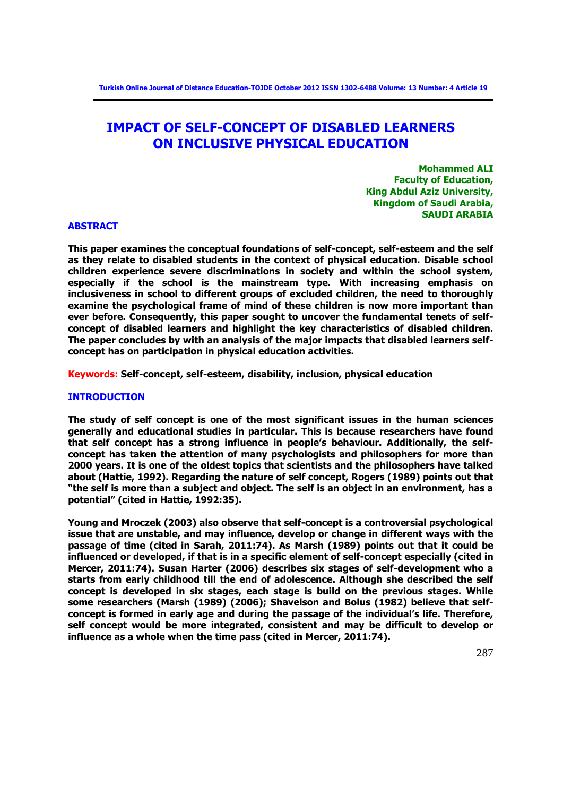# **IMPACT OF SELF-CONCEPT OF DISABLED LEARNERS ON INCLUSIVE PHYSICAL EDUCATION**

**Mohammed ALI Faculty of Education, King Abdul Aziz University, Kingdom of Saudi Arabia, SAUDI ARABIA**

#### **ABSTRACT**

**This paper examines the conceptual foundations of self-concept, self-esteem and the self as they relate to disabled students in the context of physical education. Disable school children experience severe discriminations in society and within the school system, especially if the school is the mainstream type. With increasing emphasis on inclusiveness in school to different groups of excluded children, the need to thoroughly examine the psychological frame of mind of these children is now more important than ever before. Consequently, this paper sought to uncover the fundamental tenets of selfconcept of disabled learners and highlight the key characteristics of disabled children. The paper concludes by with an analysis of the major impacts that disabled learners selfconcept has on participation in physical education activities.**

**Keywords: Self-concept, self-esteem, disability, inclusion, physical education** 

#### **INTRODUCTION**

**The study of self concept is one of the most significant issues in the human sciences generally and educational studies in particular. This is because researchers have found that self concept has a strong influence in people's behaviour. Additionally, the selfconcept has taken the attention of many psychologists and philosophers for more than 2000 years. It is one of the oldest topics that scientists and the philosophers have talked about (Hattie, 1992). Regarding the nature of self concept, Rogers (1989) points out that "the self is more than a subject and object. The self is an object in an environment, has a potential" (cited in Hattie, 1992:35).**

**Young and Mroczek (2003) also observe that self-concept is a controversial psychological issue that are unstable, and may influence, develop or change in different ways with the passage of time (cited in Sarah, 2011:74). As Marsh (1989) points out that it could be influenced or developed, if that is in a specific element of self-concept especially (cited in Mercer, 2011:74). Susan Harter (2006) describes six stages of self-development who a starts from early childhood till the end of adolescence. Although she described the self concept is developed in six stages, each stage is build on the previous stages. While some researchers (Marsh (1989) (2006); Shavelson and Bolus (1982) believe that selfconcept is formed in early age and during the passage of the individual's life. Therefore, self concept would be more integrated, consistent and may be difficult to develop or influence as a whole when the time pass (cited in Mercer, 2011:74).**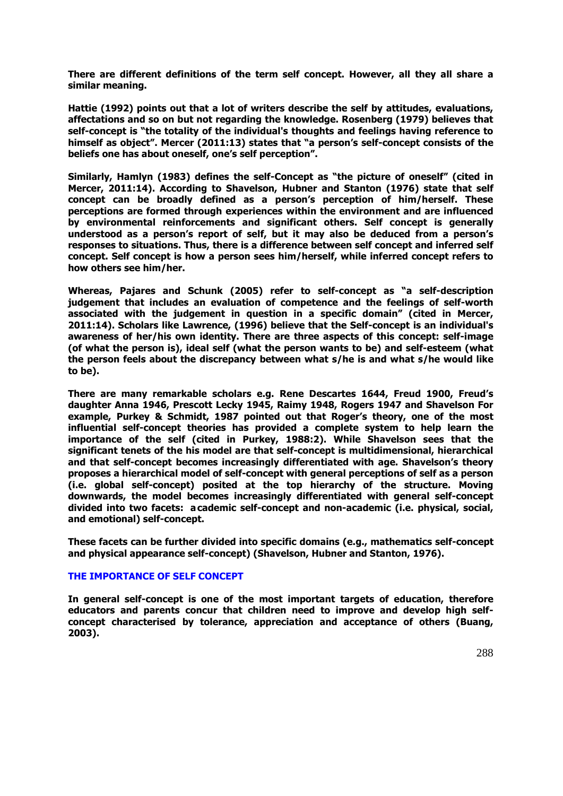**There are different definitions of the term self concept. However, all they all share a similar meaning.** 

**Hattie (1992) points out that a lot of writers describe the self by attitudes, evaluations, affectations and so on but not regarding the knowledge. Rosenberg (1979) believes that self-concept is "the totality of the individual's thoughts and feelings having reference to himself as object". Mercer (2011:13) states that "a person's self-concept consists of the beliefs one has about oneself, one's self perception".** 

**Similarly, Hamlyn (1983) defines the self-Concept as "the picture of oneself" (cited in Mercer, 2011:14). According to Shavelson, Hubner and Stanton (1976) state that self concept can be broadly defined as a person's perception of him/herself. These perceptions are formed through experiences within the environment and are influenced by environmental reinforcements and significant others. Self concept is generally understood as a person's report of self, but it may also be deduced from a person's responses to situations. Thus, there is a difference between self concept and inferred self concept. Self concept is how a person sees him/herself, while inferred concept refers to how others see him/her.** 

**Whereas, Pajares and Schunk (2005) refer to self-concept as "a self-description judgement that includes an evaluation of competence and the feelings of self-worth associated with the judgement in question in a specific domain" (cited in Mercer, 2011:14). Scholars like Lawrence, (1996) believe that the Self-concept is an individual's awareness of her/his own identity. There are three aspects of this concept: self-image (of what the person is), ideal self (what the person wants to be) and self-esteem (what the person feels about the discrepancy between what s/he is and what s/he would like to be).**

**There are many remarkable scholars e.g. Rene Descartes 1644, Freud 1900, Freud's daughter Anna 1946, Prescott Lecky 1945, Raimy 1948, Rogers 1947 and Shavelson For example, Purkey & Schmidt, 1987 pointed out that Roger's theory, one of the most influential self-concept theories has provided a complete system to help learn the importance of the self (cited in Purkey, 1988:2). While Shavelson sees that the significant tenets of the his model are that self-concept is multidimensional, hierarchical and that self-concept becomes increasingly differentiated with age. Shavelson's theory proposes a hierarchical model of self-concept with general perceptions of self as a person (i.e. global self-concept) posited at the top hierarchy of the structure. Moving downwards, the model becomes increasingly differentiated with general self-concept divided into two facets: academic self-concept and non-academic (i.e. physical, social, and emotional) self-concept.** 

**These facets can be further divided into specific domains (e.g., mathematics self-concept and physical appearance self-concept) (Shavelson, Hubner and Stanton, 1976).**

#### **THE IMPORTANCE OF SELF CONCEPT**

**In general self-concept is one of the most important targets of education, therefore educators and parents concur that children need to improve and develop high selfconcept characterised by tolerance, appreciation and acceptance of others (Buang, 2003).**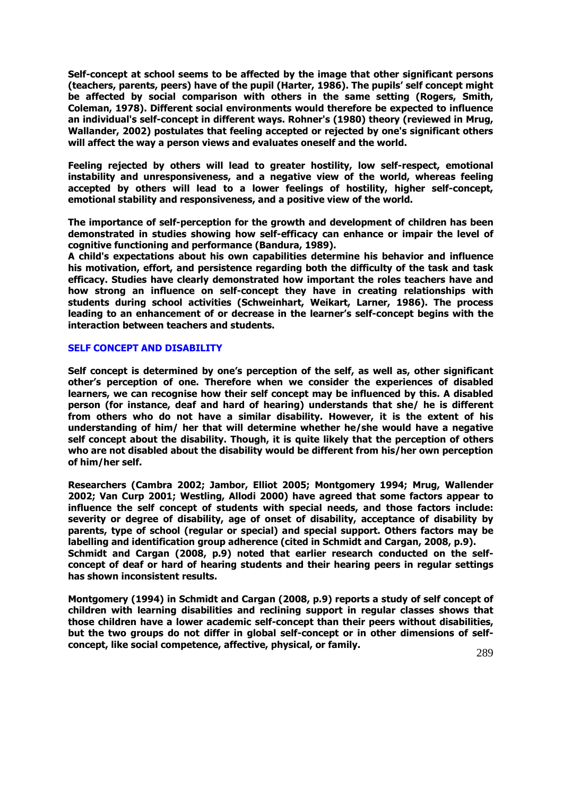**Self-concept at school seems to be affected by the image that other significant persons (teachers, parents, peers) have of the pupil (Harter, 1986). The pupils' self concept might be affected by social comparison with others in the same setting (Rogers, Smith, Coleman, 1978). Different social environments would therefore be expected to influence an individual's self-concept in different ways. Rohner's (1980) theory (reviewed in Mrug, Wallander, 2002) postulates that feeling accepted or rejected by one's significant others will affect the way a person views and evaluates oneself and the world.** 

**Feeling rejected by others will lead to greater hostility, low self-respect, emotional instability and unresponsiveness, and a negative view of the world, whereas feeling accepted by others will lead to a lower feelings of hostility, higher self-concept, emotional stability and responsiveness, and a positive view of the world.**

**The importance of self-perception for the growth and development of children has been demonstrated in studies showing how self-efficacy can enhance or impair the level of cognitive functioning and performance (Bandura, 1989).** 

**A child's expectations about his own capabilities determine his behavior and influence his motivation, effort, and persistence regarding both the difficulty of the task and task efficacy. Studies have clearly demonstrated how important the roles teachers have and how strong an influence on self-concept they have in creating relationships with students during school activities (Schweinhart, Weikart, Larner, 1986). The process leading to an enhancement of or decrease in the learner's self-concept begins with the interaction between teachers and students.** 

#### **SELF CONCEPT AND DISABILITY**

**Self concept is determined by one's perception of the self, as well as, other significant other's perception of one. Therefore when we consider the experiences of disabled learners, we can recognise how their self concept may be influenced by this. A disabled person (for instance, deaf and hard of hearing) understands that she/ he is different from others who do not have a similar disability. However, it is the extent of his understanding of him/ her that will determine whether he/she would have a negative self concept about the disability. Though, it is quite likely that the perception of others who are not disabled about the disability would be different from his/her own perception of him/her self.**

**Researchers (Cambra 2002; Jambor, Elliot 2005; Montgomery 1994; Mrug, Wallender 2002; Van Curp 2001; Westling, Allodi 2000) have agreed that some factors appear to influence the self concept of students with special needs, and those factors include: severity or degree of disability, age of onset of disability, acceptance of disability by parents, type of school (regular or special) and special support. Others factors may be labelling and identification group adherence (cited in Schmidt and Cargan, 2008, p.9). Schmidt and Cargan (2008, p.9) noted that earlier research conducted on the selfconcept of deaf or hard of hearing students and their hearing peers in regular settings has shown inconsistent results.** 

**Montgomery (1994) in Schmidt and Cargan (2008, p.9) reports a study of self concept of children with learning disabilities and reclining support in regular classes shows that those children have a lower academic self-concept than their peers without disabilities, but the two groups do not differ in global self-concept or in other dimensions of selfconcept, like social competence, affective, physical, or family.**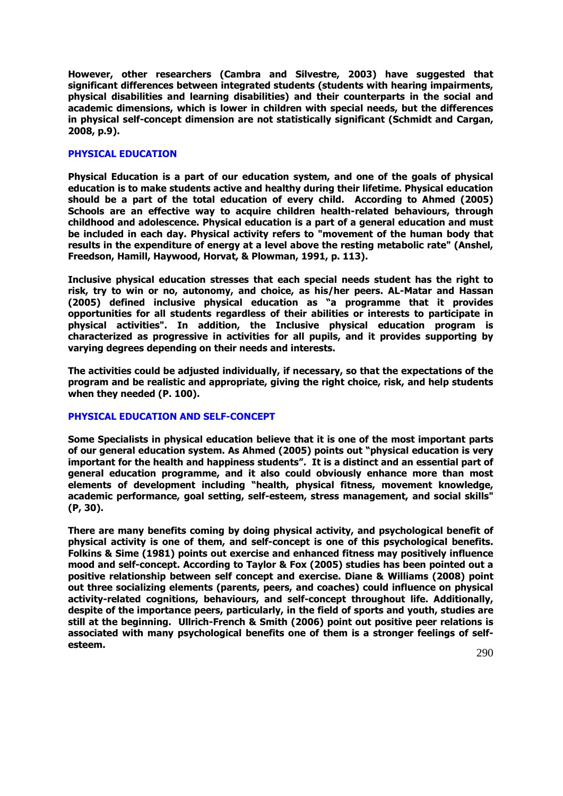**However, other researchers (Cambra and Silvestre, 2003) have suggested that significant differences between integrated students (students with hearing impairments, physical disabilities and learning disabilities) and their counterparts in the social and academic dimensions, which is lower in children with special needs, but the differences in physical self-concept dimension are not statistically significant (Schmidt and Cargan, 2008, p.9).**

### **PHYSICAL EDUCATION**

**Physical Education is a part of our education system, and one of the goals of physical education is to make students active and healthy during their lifetime. Physical education should be a part of the total education of every child. According to Ahmed (2005) Schools are an effective way to acquire children health-related behaviours, through childhood and adolescence. Physical education is a part of a general education and must be included in each day. Physical activity refers to "movement of the human body that results in the expenditure of energy at a level above the resting metabolic rate" (Anshel, Freedson, Hamill, Haywood, Horvat, & Plowman, 1991, p. 113).** 

**Inclusive physical education stresses that each special needs student has the right to risk, try to win or no, autonomy, and choice, as his/her peers. AL-Matar and Hassan (2005) defined inclusive physical education as "a programme that it provides opportunities for all students regardless of their abilities or interests to participate in physical activities". In addition, the Inclusive physical education program is characterized as progressive in activities for all pupils, and it provides supporting by varying degrees depending on their needs and interests.** 

**The activities could be adjusted individually, if necessary, so that the expectations of the program and be realistic and appropriate, giving the right choice, risk, and help students when they needed (P. 100).**

# **PHYSICAL EDUCATION AND SELF-CONCEPT**

**Some Specialists in physical education believe that it is one of the most important parts of our general education system. As Ahmed (2005) points out "physical education is very important for the health and happiness students". It is a distinct and an essential part of general education programme, and it also could obviously enhance more than most elements of development including "health, physical fitness, movement knowledge, academic performance, goal setting, self-esteem, stress management, and social skills" (P, 30).**

**There are many benefits coming by doing physical activity, and psychological benefit of physical activity is one of them, and self-concept is one of this psychological benefits. Folkins & Sime (1981) points out exercise and enhanced fitness may positively influence mood and self-concept. According to Taylor & Fox (2005) studies has been pointed out a positive relationship between self concept and exercise. Diane & Williams (2008) point out three socializing elements (parents, peers, and coaches) could influence on physical activity-related cognitions, behaviours, and self-concept throughout life. Additionally, despite of the importance peers, particularly, in the field of sports and youth, studies are still at the beginning. Ullrich-French & Smith (2006) point out positive peer relations is associated with many psychological benefits one of them is a stronger feelings of selfesteem.**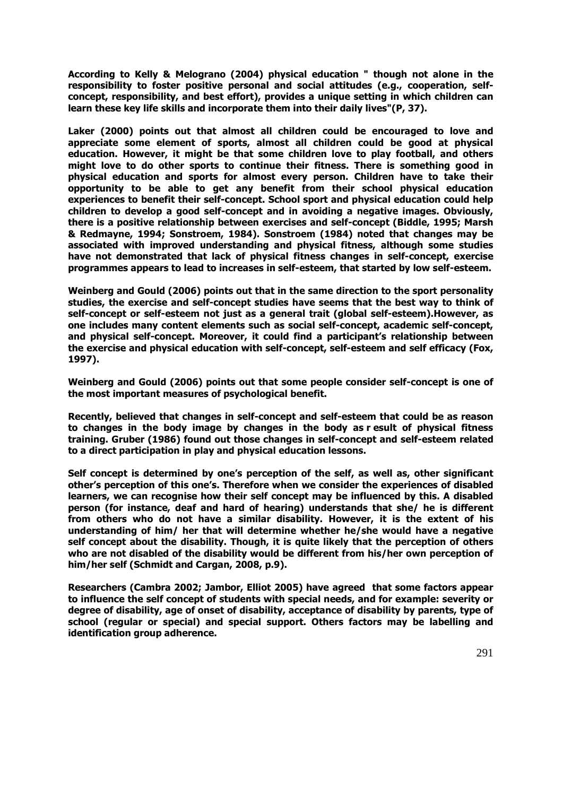**According to Kelly & Melograno (2004) physical education " though not alone in the responsibility to foster positive personal and social attitudes (e.g., cooperation, selfconcept, responsibility, and best effort), provides a unique setting in which children can learn these key life skills and incorporate them into their daily lives"(P, 37).**

**Laker (2000) points out that almost all children could be encouraged to love and appreciate some element of sports, almost all children could be good at physical education. However, it might be that some children love to play football, and others might love to do other sports to continue their fitness. There is something good in physical education and sports for almost every person. Children have to take their opportunity to be able to get any benefit from their school physical education experiences to benefit their self-concept. School sport and physical education could help children to develop a good self-concept and in avoiding a negative images. Obviously, there is a positive relationship between exercises and self-concept (Biddle, 1995; Marsh & Redmayne, 1994; Sonstroem, 1984). Sonstroem (1984) noted that changes may be associated with improved understanding and physical fitness, although some studies have not demonstrated that lack of physical fitness changes in self-concept, exercise programmes appears to lead to increases in self-esteem, that started by low self-esteem.**

**Weinberg and Gould (2006) points out that in the same direction to the sport personality studies, the exercise and self-concept studies have seems that the best way to think of self-concept or self-esteem not just as a general trait (global self-esteem).However, as one includes many content elements such as social self-concept, academic self-concept, and physical self-concept. Moreover, it could find a participant's relationship between the exercise and physical education with self-concept, self-esteem and self efficacy (Fox, 1997).**

**Weinberg and Gould (2006) points out that some people consider self-concept is one of the most important measures of psychological benefit.** 

**Recently, believed that changes in self-concept and self-esteem that could be as reason to changes in the body image by changes in the body as r esult of physical fitness training. Gruber (1986) found out those changes in self-concept and self-esteem related to a direct participation in play and physical education lessons.**

**Self concept is determined by one's perception of the self, as well as, other significant other's perception of this one's. Therefore when we consider the experiences of disabled learners, we can recognise how their self concept may be influenced by this. A disabled person (for instance, deaf and hard of hearing) understands that she/ he is different from others who do not have a similar disability. However, it is the extent of his understanding of him/ her that will determine whether he/she would have a negative self concept about the disability. Though, it is quite likely that the perception of others who are not disabled of the disability would be different from his/her own perception of him/her self (Schmidt and Cargan, 2008, p.9).**

**Researchers (Cambra 2002; Jambor, Elliot 2005) have agreed that some factors appear to influence the self concept of students with special needs, and for example: severity or degree of disability, age of onset of disability, acceptance of disability by parents, type of school (regular or special) and special support. Others factors may be labelling and identification group adherence.**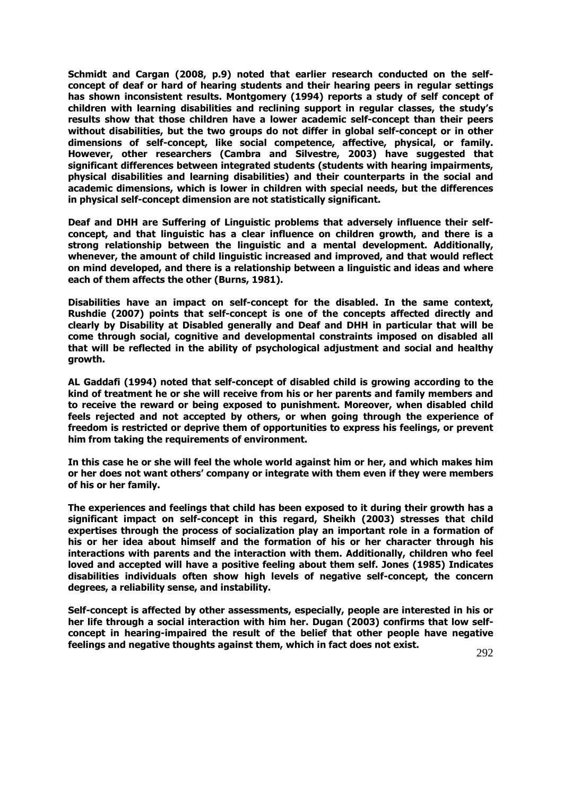**Schmidt and Cargan (2008, p.9) noted that earlier research conducted on the selfconcept of deaf or hard of hearing students and their hearing peers in regular settings has shown inconsistent results. Montgomery (1994) reports a study of self concept of children with learning disabilities and reclining support in regular classes, the study's results show that those children have a lower academic self-concept than their peers without disabilities, but the two groups do not differ in global self-concept or in other dimensions of self-concept, like social competence, affective, physical, or family. However, other researchers (Cambra and Silvestre, 2003) have suggested that significant differences between integrated students (students with hearing impairments, physical disabilities and learning disabilities) and their counterparts in the social and academic dimensions, which is lower in children with special needs, but the differences in physical self-concept dimension are not statistically significant.**

**Deaf and DHH are Suffering of Linguistic problems that adversely influence their selfconcept, and that linguistic has a clear influence on children growth, and there is a strong relationship between the linguistic and a mental development. Additionally, whenever, the amount of child linguistic increased and improved, and that would reflect on mind developed, and there is a relationship between a linguistic and ideas and where each of them affects the other (Burns, 1981).** 

**Disabilities have an impact on self-concept for the disabled. In the same context, Rushdie (2007) points that self-concept is one of the concepts affected directly and clearly by Disability at Disabled generally and Deaf and DHH in particular that will be come through social, cognitive and developmental constraints imposed on disabled all that will be reflected in the ability of psychological adjustment and social and healthy growth.**

**AL Gaddafi (1994) noted that self-concept of disabled child is growing according to the kind of treatment he or she will receive from his or her parents and family members and to receive the reward or being exposed to punishment. Moreover, when disabled child feels rejected and not accepted by others, or when going through the experience of freedom is restricted or deprive them of opportunities to express his feelings, or prevent him from taking the requirements of environment.** 

**In this case he or she will feel the whole world against him or her, and which makes him or her does not want others' company or integrate with them even if they were members of his or her family.** 

**The experiences and feelings that child has been exposed to it during their growth has a significant impact on self-concept in this regard, Sheikh (2003) stresses that child expertises through the process of socialization play an important role in a formation of his or her idea about himself and the formation of his or her character through his interactions with parents and the interaction with them. Additionally, children who feel loved and accepted will have a positive feeling about them self. Jones (1985) Indicates disabilities individuals often show high levels of negative self-concept, the concern degrees, a reliability sense, and instability.**

**Self-concept is affected by other assessments, especially, people are interested in his or her life through a social interaction with him her. Dugan (2003) confirms that low selfconcept in hearing-impaired the result of the belief that other people have negative feelings and negative thoughts against them, which in fact does not exist.**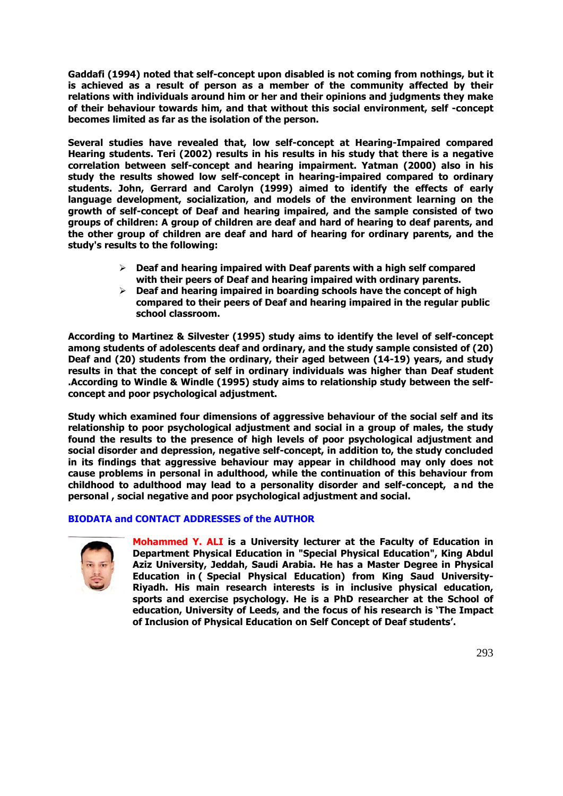**Gaddafi (1994) noted that self-concept upon disabled is not coming from nothings, but it is achieved as a result of person as a member of the community affected by their relations with individuals around him or her and their opinions and judgments they make of their behaviour towards him, and that without this social environment, self -concept becomes limited as far as the isolation of the person.**

**Several studies have revealed that, low self-concept at Hearing-Impaired compared Hearing students. Teri (2002) results in his results in his study that there is a negative correlation between self-concept and hearing impairment. Yatman (2000) also in his study the results showed low self-concept in hearing-impaired compared to ordinary students. John, Gerrard and Carolyn (1999) aimed to identify the effects of early language development, socialization, and models of the environment learning on the growth of self-concept of Deaf and hearing impaired, and the sample consisted of two groups of children: A group of children are deaf and hard of hearing to deaf parents, and the other group of children are deaf and hard of hearing for ordinary parents, and the study's results to the following:**

- **Deaf and hearing impaired with Deaf parents with a high self compared with their peers of Deaf and hearing impaired with ordinary parents.**
- **Deaf and hearing impaired in boarding schools have the concept of high compared to their peers of Deaf and hearing impaired in the regular public school classroom.**

**According to Martinez & Silvester (1995) study aims to identify the level of self-concept among students of adolescents deaf and ordinary, and the study sample consisted of (20) Deaf and (20) students from the ordinary, their aged between (14-19) years, and study results in that the concept of self in ordinary individuals was higher than Deaf student .According to Windle & Windle (1995) study aims to relationship study between the selfconcept and poor psychological adjustment.** 

**Study which examined four dimensions of aggressive behaviour of the social self and its relationship to poor psychological adjustment and social in a group of males, the study found the results to the presence of high levels of poor psychological adjustment and social disorder and depression, negative self-concept, in addition to, the study concluded in its findings that aggressive behaviour may appear in childhood may only does not cause problems in personal in adulthood, while the continuation of this behaviour from childhood to adulthood may lead to a personality disorder and self-concept, a nd the personal , social negative and poor psychological adjustment and social.**

# **BIODATA and CONTACT ADDRESSES of the AUTHOR**



**Mohammed Y. ALI is a University lecturer at the Faculty of Education in Department Physical Education in "Special Physical Education", King Abdul Aziz University, Jeddah, Saudi Arabia. He has a Master Degree in Physical Education in ( Special Physical Education) from King Saud University-Riyadh. His main research interests is in inclusive physical education, sports and exercise psychology. He is a PhD researcher at the School of education, University of Leeds, and the focus of his research is 'The Impact of Inclusion of Physical Education on Self Concept of Deaf students'.**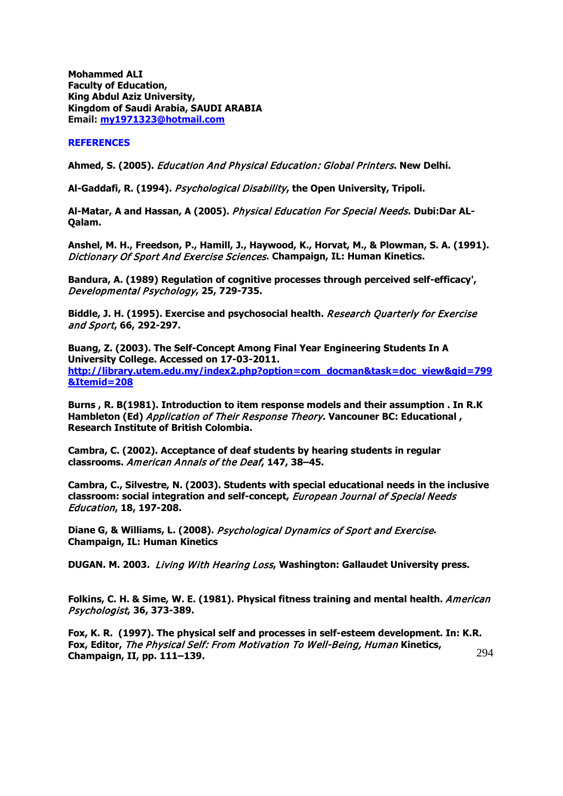**Mohammed ALI Faculty of Education, King Abdul Aziz University, Kingdom of Saudi Arabia, SAUDI ARABIA Email: [my1971323@hotmail.com](mailto:my1971323@hotmail.com)**

## **REFERENCES**

**Ahmed, S. (2005).** Education And Physical Education: Global Printers**. New Delhi.**

**Al-Gaddafi, R. (1994).** Psychological Disability**, the Open University, Tripoli.**

**Al-Matar, A and Hassan, A (2005).** Physical Education For Special Needs**. Dubi:Dar AL-Qalam.**

**Anshel, M. H., Freedson, P., Hamill, J., Haywood, K., Horvat, M., & Plowman, S. A. (1991).**  Dictionary Of Sport And Exercise Sciences**. Champaign, IL: Human Kinetics.**

**Bandura, A. (1989) Regulation of cognitive processes through perceived self-efficacy',**  Developmental Psychology**, 25, 729-735.**

**Biddle, J. H. (1995). Exercise and psychosocial health.** Research Quarterly for Exercise and Sport**, 66, 292-297.**

**Buang, Z. (2003). The Self-Concept Among Final Year Engineering Students In A University College. Accessed on 17-03-2011. [http://library.utem.edu.my/index2.php?option=com\\_docman&task=doc\\_view&gid=799](http://library.utem.edu.my/index2.php?option=com_docman&task=doc_view&gid=799&Itemid=208) [&Itemid=208](http://library.utem.edu.my/index2.php?option=com_docman&task=doc_view&gid=799&Itemid=208)**

**Burns , R. B(1981). Introduction to item response models and their assumption . In R.K Hambleton (Ed)** Application of Their Response Theory**. Vancouner BC: Educational , Research Institute of British Colombia.**

**Cambra, C. (2002). Acceptance of deaf students by hearing students in regular classrooms.** American Annals of the Deaf**, 147, 38–45.**

**Cambra, C., Silvestre, N. (2003). Students with special educational needs in the inclusive classroom: social integration and self-concept,** European Journal of Special Needs Education**, 18, 197-208.**

**Diane G, & Williams, L. (2008).** Psychological Dynamics of Sport and Exercise**. Champaign, IL: Human Kinetics**

**DUGAN. M. 2003.** Living With Hearing Loss**, Washington: Gallaudet University press.**

**Folkins, C. H. & Sime, W. E. (1981). Physical fitness training and mental health.** American Psychologist**, 36, 373-389.**

294 **Fox, K. R. (1997). The physical self and processes in self-esteem development. In: K.R. Fox, Editor,** The Physical Self: From Motivation To Well-Being, Human **Kinetics, Champaign, II, pp. 111–139.**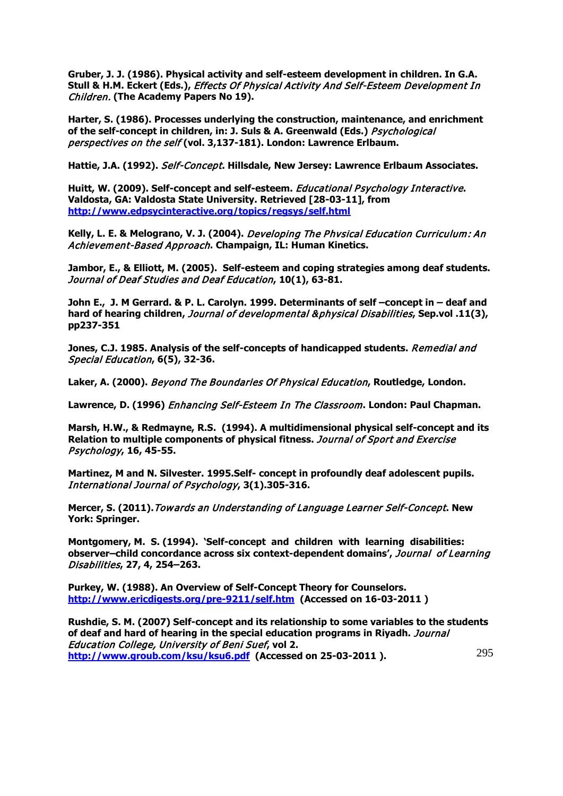**Gruber, J. J. (1986). Physical activity and self-esteem development in children. In G.A. Stull & H.M. Eckert (Eds.),** Effects Of Physical Activity And Self-Esteem Development In Children. **(The Academy Papers No 19).**

**Harter, S. (1986). Processes underlying the construction, maintenance, and enrichment of the self-concept in children, in: J. Suls & A. Greenwald (Eds.)** Psychological perspectives on the self **(vol. 3,137-181). London: Lawrence Erlbaum.**

**Hattie, J.A. (1992).** Self-Concept**. Hillsdale, New Jersey: Lawrence Erlbaum Associates.**

**Huitt, W. (2009). Self-concept and self-esteem.** Educational Psychology Interactive**. Valdosta, GA: Valdosta State University. Retrieved [28-03-11], from <http://www.edpsycinteractive.org/topics/regsys/self.html>**

**Kelly, L. E. & Melograno, V. J. (2004).** Developing The Phvsical Education Curriculum: An Achievement-Based Approach**. Champaign, IL: Human Kinetics.**

**Jambor, E., & Elliott, M. (2005). Self-esteem and coping strategies among deaf students.**  Journal of Deaf Studies and Deaf Education**, 10(1), 63-81.**

**John E., J. M Gerrard. & P. L. Carolyn. 1999. Determinants of self –concept in – deaf and hard of hearing children,** Journal of developmental &physical Disabilities**, Sep.vol .11(3), pp237-351**

**Jones, C.J. 1985. Analysis of the self-concepts of handicapped students.** Remedial and Special Education**, 6(5), 32-36.**

**Laker, A. (2000).** Beyond The Boundaries Of Physical Education**, Routledge, London.**

**Lawrence, D. (1996)** Enhancing Self-Esteem In The Classroom**. London: Paul Chapman.**

**Marsh, H.W., & Redmayne, R.S. (1994). A multidimensional physical self-concept and its Relation to multiple components of physical fitness.** Journal of Sport and Exercise Psychology**, 16, 45-55.**

**Martinez, M and N. Silvester. 1995.Self- concept in profoundly deaf adolescent pupils.** International Journal of Psychology**, 3(1).305-316.**

**Mercer, S. (2011).**Towards an Understanding of Language Learner Self-Concept**. New York: Springer.**

**Montgomery, M. S. (1994). 'Self-concept and children with learning disabilities: observer–child concordance across six context-dependent domains',** Journal of Learning Disabilities**, 27, 4, 254–263.**

**Purkey, W. (1988). An Overview of Self-Concept Theory for Counselors. <http://www.ericdigests.org/pre-9211/self.htm>(Accessed on 16-03-2011 )**

295 **Rushdie, S. M. (2007) Self-concept and its relationship to some variables to the students of deaf and hard of hearing in the special education programs in Riyadh.** Journal Education College, University of Beni Suef**, vol 2. <http://www.groub.com/ksu/ksu6.pdf>(Accessed on 25-03-2011 ).**